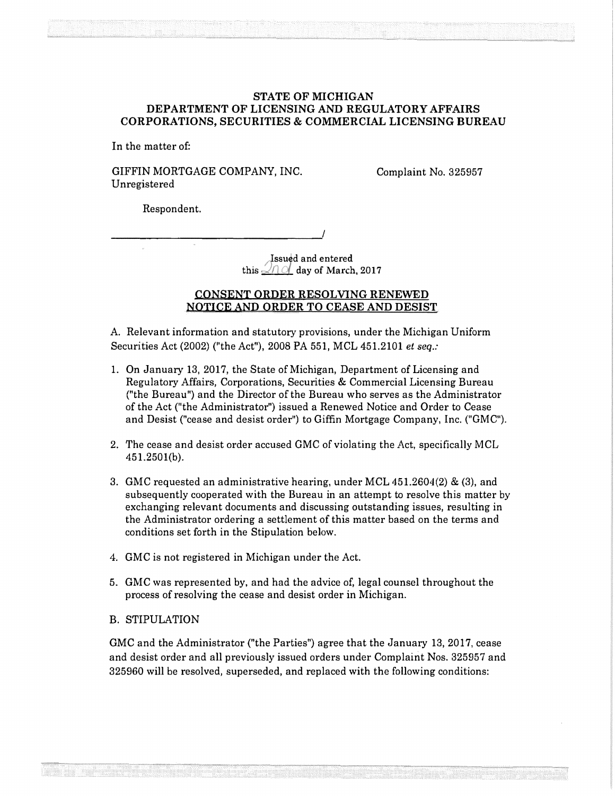## STATE OF MICHIGAN DEPARTMENT OF LICENSING AND REGULATORY AFFAIRS CORPORATIONS, SECURITIES & COMMERCIAL LICENSING BUREAU

In the matter of:

GIFFIN MORTGAGE COMPANY, INC. Unregistered

Complaint No. 325957

Respondent.

Issued and entered this  $\mathcal{A} \cap \mathcal{A}$  day of March, 2017

## CONSENT ORDER RESOLVING RENEWED NOTICE AND ORDER TO CEASE AND DESIST

A. Relevant information and statutory provisions, under the Michigan Uniform Securities Act (2002) (''the Act"), 2008 PA 551, MCL 451.2101 *et seq.:* 

- 1. On January 13, 2017, the State of Michigan, Department of Licensing and Regulatory Affairs, Corporations, Securities & Commercial Licensing Bureau ("the Bureau") and the Director of the Bureau who serves as the Administrator of the Act ("the Administrator") issued a Renewed Notice and Order to Cease and Desist ("cease and desist order") to Giffin Mortgage Company, Inc. ("GMC").
- 2. The cease and desist order accused GMC of violating the Act, specifically MCL 451.2501(b).
- 3. GMC requested an administrative hearing, under MCL 451.2604(2) & (3), and subsequently cooperated with the Bureau in an attempt to resolve this matter by exchanging relevant documents and discussing outstanding issues, resulting in the Administrator ordering a settlement of this matter based on the terms and conditions set forth in the Stipulation below.
- 4. GMC is not registered in Michigan under the Act.
- 5. GMC was represented by, and had the advice of, legal counsel throughout the process of resolving the cease and desist order in Michigan.
- B. STIPULATION

GMC and the Administrator ("the Parties") agree that the January 13, 2017, cease and desist order and all previously issued orders under Complaint Nos. 325957 and 325960 will be resolved, superseded, and replaced with the following conditions: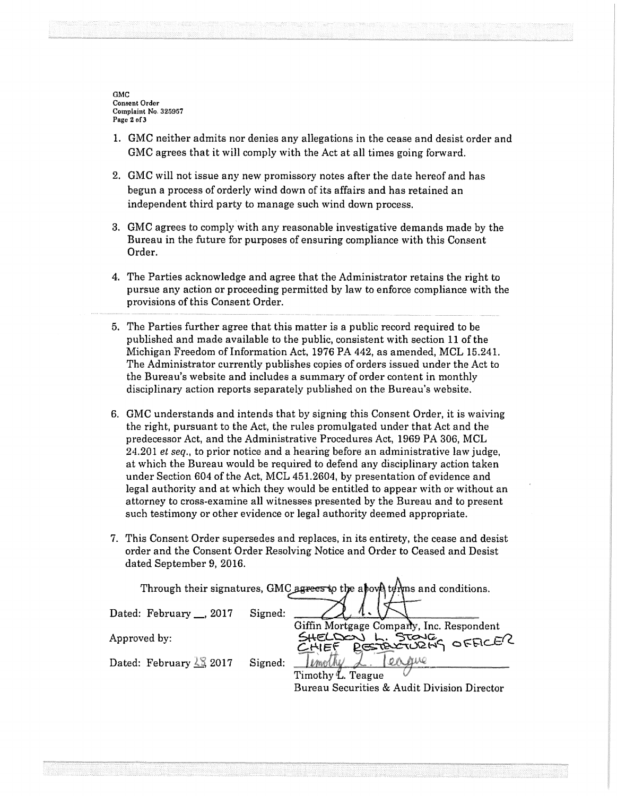GMC Consent Ordor Complaint No. 325957 Page 2 of 3

- 1. GMC neither admits nor denies any allegations in the cease and desist order and GMC agrees that it will comply with the Act at all times going forward.
- 2. GMC will not issue any new promissory notes after the date hereof and has begun a process of orderly wind down of its affairs and has retained an independent third party to manage such wind down process.
- 3. GMC agrees to comply with any reasonable investigative demands made by the Bureau in the future for purposes of ensuring compliance with this Consent Order.
- 4. The Parties acknowledge and agree that the Administrator retains the right to pursue any action or proceeding permitted by law to enforce compliance with the provisions of this Consent Order.
- 5. The Parties further agree that this matter is a public record required to be published and made available to the public, consistent with section 11 of the Michigan Freedom of Information Act, 1976 PA 442, as amended, MCL 15.241. The Administrator currently publishes copies of orders issued under the Act to the Bureau's website and includes a summary of order content in monthly disciplinary action reports separately published on the Bureau's website.
- 6. GMC understands and intends that by signing this Consent Order, it is waiving the right, pursuant to the Act, the rules promulgated under that Act and the predecessor Act, and the Administrative Procedures Act, 1969 PA 306, MCL 24.201 *et seq.,* to prior notice and a hearing before an administrative law judge, at which the Bureau would be required to defend any disciplinary action taken under Section 604 of the Act, MCL 451.2604, by presentation of evidence and legal authority and at which they would be entitled to appear with or without an attorney to cross-examine all witnesses presented by the Bureau and to present such testimony or other evidence or legal authority deemed appropriate.
- 7. This Consent Order supersedes and replaces, in its entirety, the cease and desist order and the Consent Order Resolving Notice and Order to Ceased and Desist dated September 9, 2016.

Through their signatures, GMC agrees to the above  $t$ *e* $\frac{1}{2}$  and conditions. Dated: February \_, 2017 Signed: Giffin Mortgage Comparty, Inc. Respondent<br>SHELDON L. STONE<br>CHIEF PEREXTURING OFFICER Approved by: Dated: February  $\leq$  2017 Signed: <u>Ilmothy</u> L. <u>12</u><br>Timothy L. Teague Bureau Securities & Audit Division Director